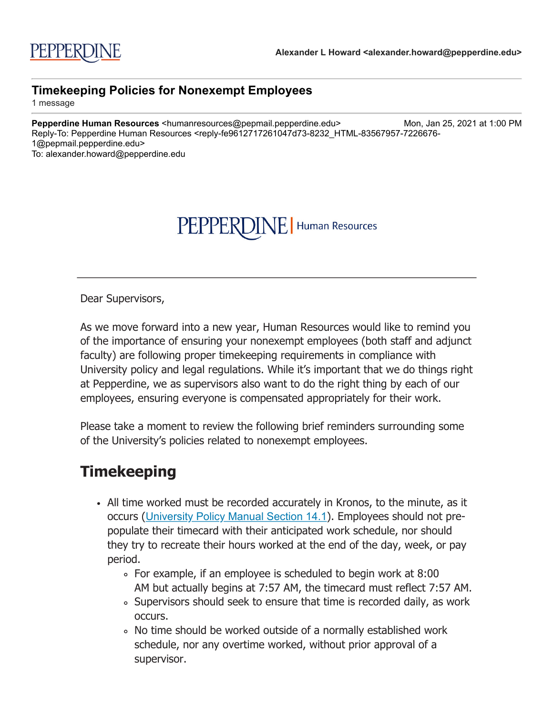# PEPPERDINE | Human Resources

Dear Supervisors,

As we move forward into a new year, Human Resources would like to remind you of the importance of ensuring your nonexempt employees (both staff and adjunct faculty) are following proper timekeeping requirements in compliance with University policy and legal regulations. While it's important that we do things right at Pepperdine, we as supervisors also want to do the right thing by each of our employees, ensuring everyone is compensated appropriately for their work.

Please take a moment to review the following brief reminders surrounding some of the University's policies related to nonexempt employees.

#### **Timekeeping**

- All time worked must be recorded accurately in Kronos, to the minute, as it occurs ([University Policy Manual Section 14.1](http://click.pepmail.pepperdine.edu/?qs=9d331471229cf87eb0f6825e2113cacabbc9960ec5839f59ea11738455e9a5e4dcd1c4f76adb5727b6f04eca39905ce796501be203c1d363)). Employees should not prepopulate their timecard with their anticipated work schedule, nor should they try to recreate their hours worked at the end of the day, week, or pay period.
	- For example, if an employee is scheduled to begin work at 8:00 AM but actually begins at 7:57 AM, the timecard must reflect 7:57 AM.
	- Supervisors should seek to ensure that time is recorded daily, as work occurs.
	- No time should be worked outside of a normally established work schedule, nor any overtime worked, without prior approval of a supervisor.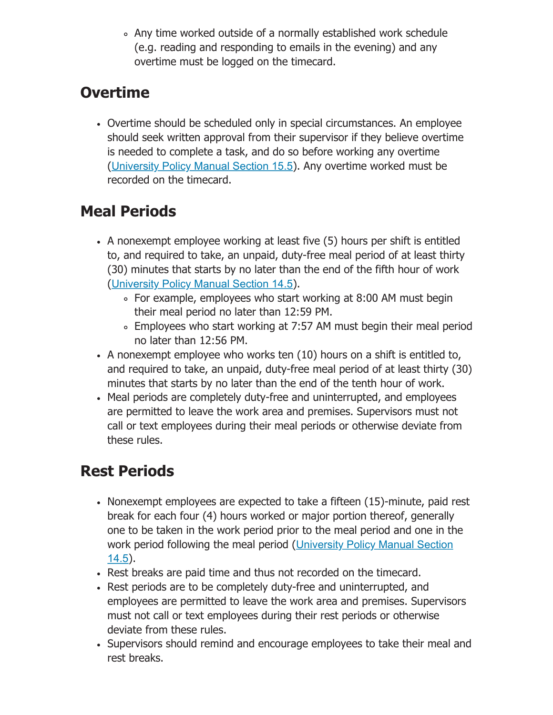Any time worked outside of a normally established work schedule (e.g. reading and responding to emails in the evening) and any overtime must be logged on the timecard.

### **Overtime**

Overtime should be scheduled only in special circumstances. An employee should seek written approval from their supervisor if they believe overtime is needed to complete a task, and do so before working any overtime ([University Policy Manual Section 15.5](http://click.pepmail.pepperdine.edu/?qs=9d331471229cf87ea9c35354eda7177bbf22795229ee0b182ece4225f2407efc3d5593f863a77b0e2698420e4b51c2b6d6136edfd120ba3a)). Any overtime worked must be recorded on the timecard.

## **Meal Periods**

- A nonexempt employee working at least five (5) hours per shift is entitled to, and required to take, an unpaid, duty-free meal period of at least thirty (30) minutes that starts by no later than the end of the fifth hour of work ([University Policy Manual Section 14.5](http://click.pepmail.pepperdine.edu/?qs=9d331471229cf87e3748de41b7a5b614e8bfb2831cd37ee441e88a60819e9ba8108ad56d214d0faa26c01a4f5993f5a3ae5061b54a2e4853)).
	- For example, employees who start working at 8:00 AM must begin their meal period no later than 12:59 PM.
	- Employees who start working at 7:57 AM must begin their meal period no later than 12:56 PM.
- A nonexempt employee who works ten (10) hours on a shift is entitled to, and required to take, an unpaid, duty-free meal period of at least thirty (30) minutes that starts by no later than the end of the tenth hour of work.
- Meal periods are completely duty-free and uninterrupted, and employees are permitted to leave the work area and premises. Supervisors must not call or text employees during their meal periods or otherwise deviate from these rules.

### **Rest Periods**

- Nonexempt employees are expected to take a fifteen (15)-minute, paid rest break for each four (4) hours worked or major portion thereof, generally one to be taken in the work period prior to the meal period and one in the [work period following the meal period \(](http://click.pepmail.pepperdine.edu/?qs=9d331471229cf87e3748de41b7a5b614e8bfb2831cd37ee441e88a60819e9ba8108ad56d214d0faa26c01a4f5993f5a3ae5061b54a2e4853)University Policy Manual Section 14.5).
- Rest breaks are paid time and thus not recorded on the timecard.
- Rest periods are to be completely duty-free and uninterrupted, and employees are permitted to leave the work area and premises. Supervisors must not call or text employees during their rest periods or otherwise deviate from these rules.
- Supervisors should remind and encourage employees to take their meal and rest breaks.